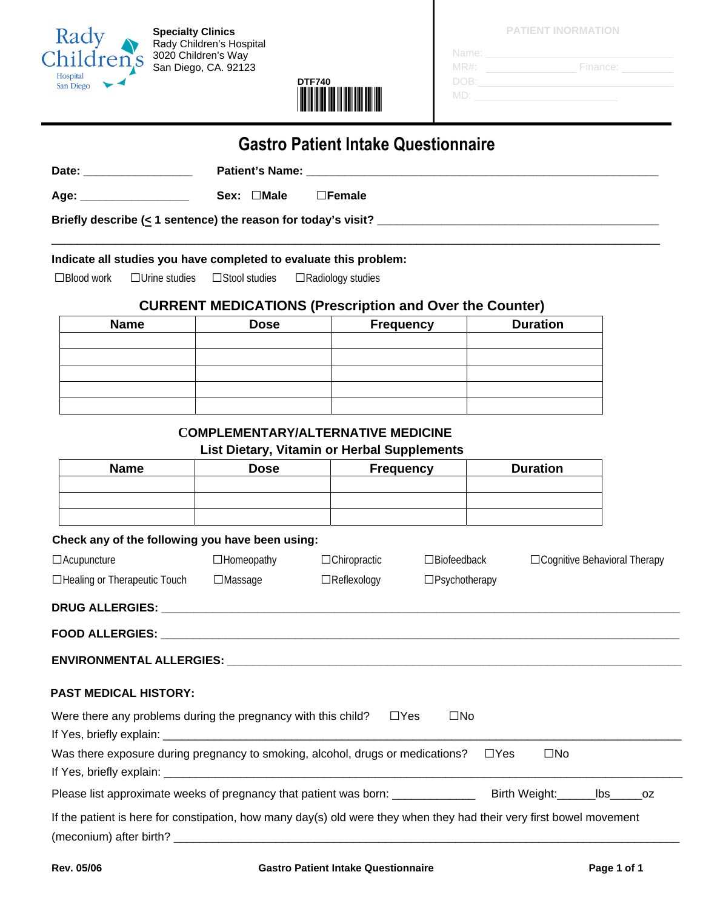

 **Specialty Clinics**  Rady Children's Hospital 3020 Children's Way San Diego, CA. 92123



**PATIENT INORMATION**

| Name:   |          |
|---------|----------|
| $MR#$ : | Finance: |
| DOB:    |          |
| MD:     |          |

## **Gastro Patient Intake Questionnaire**

**Date: \_\_\_\_\_\_\_\_\_\_\_\_\_\_\_\_\_ Patient's Name: \_\_\_\_\_\_\_\_\_\_\_\_\_\_\_\_\_\_\_\_\_\_\_\_\_\_\_\_\_\_\_\_\_\_\_\_\_\_\_\_\_\_\_\_\_\_\_\_\_\_\_\_\_\_\_** 

**Age: \_\_\_\_\_\_\_\_\_\_\_\_\_\_\_\_\_ Sex: □Male □Female** 

**Briefly describe (< 1 sentence) the reason for today's visit? \_\_\_\_\_\_\_\_\_\_\_\_\_\_\_\_\_\_\_\_\_\_\_\_\_\_\_\_\_\_\_\_\_\_\_\_\_\_\_\_\_\_\_\_** 

#### **Indicate all studies you have completed to evaluate this problem:**

**□**Blood work **□**Urine studies **□**Stool studies **□**Radiology studies

#### **CURRENT MEDICATIONS (Prescription and Over the Counter)**

\_\_\_\_\_\_\_\_\_\_\_\_\_\_\_\_\_\_\_\_\_\_\_\_\_\_\_\_\_\_\_\_\_\_\_\_\_\_\_\_\_\_\_\_\_\_\_\_\_\_\_\_\_\_\_\_\_\_\_\_\_\_\_\_\_\_\_\_\_\_\_\_\_\_\_\_\_\_\_\_\_\_\_\_\_\_\_\_\_\_\_\_\_\_\_

| <b>Name</b> | <b>Dose</b> | <b>Duration</b> |  |  |
|-------------|-------------|-----------------|--|--|
|             |             |                 |  |  |
|             |             |                 |  |  |
|             |             |                 |  |  |
|             |             |                 |  |  |
|             |             |                 |  |  |

### **COMPLEMENTARY/ALTERNATIVE MEDICINE**

#### **List Dietary, Vitamin or Herbal Supplements**

| <b>Name</b>                                                                                                          |                   | <b>Frequency</b>    | <b>Duration</b>            |                                |  |
|----------------------------------------------------------------------------------------------------------------------|-------------------|---------------------|----------------------------|--------------------------------|--|
|                                                                                                                      |                   |                     |                            |                                |  |
|                                                                                                                      |                   |                     |                            |                                |  |
| Check any of the following you have been using:                                                                      |                   |                     |                            |                                |  |
| $\Box$ Acupuncture                                                                                                   | $\Box$ Homeopathy | $\Box$ Chiropractic | $\Box$ Biofeedback         | □ Cognitive Behavioral Therapy |  |
| □Healing or Therapeutic Touch □Massage                                                                               |                   | $\Box$ Reflexology  | $\square$ Psychotherapy    |                                |  |
|                                                                                                                      |                   |                     |                            |                                |  |
|                                                                                                                      |                   |                     |                            |                                |  |
|                                                                                                                      |                   |                     |                            |                                |  |
| <b>PAST MEDICAL HISTORY:</b>                                                                                         |                   |                     |                            |                                |  |
| Were there any problems during the pregnancy with this child?                                                        |                   |                     | $\Box$ Yes<br>$\square$ No |                                |  |
| Was there exposure during pregnancy to smoking, alcohol, drugs or medications?<br>TYes                               |                   |                     |                            | $\square$ No                   |  |
| Please list approximate weeks of pregnancy that patient was born: _______________ Birth Weight: __________bs______oz |                   |                     |                            |                                |  |
| If the patient is here for constipation, how many day(s) old were they when they had their very first bowel movement |                   |                     |                            |                                |  |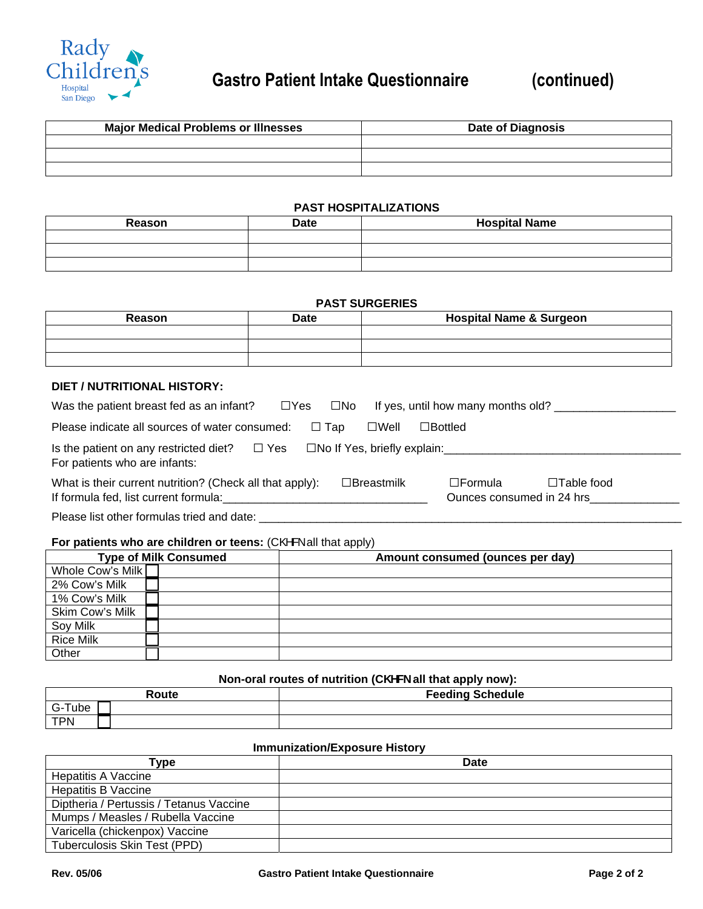

| <b>Major Medical Problems or Illnesses</b> | <b>Date of Diagnosis</b> |
|--------------------------------------------|--------------------------|
|                                            |                          |
|                                            |                          |
|                                            |                          |

#### **PAST HOSPITALIZATIONS**

| Reason | <b>Date</b> | <b>Hospital Name</b> |
|--------|-------------|----------------------|
|        |             |                      |
|        |             |                      |
|        |             |                      |

#### **PAST SURGERIES**

| Reason | <b>Date</b> | <b>Hospital Name &amp; Surgeon</b> |
|--------|-------------|------------------------------------|
|        |             |                                    |
|        |             |                                    |
|        |             |                                    |

#### **DIET / NUTRITIONAL HISTORY:**

| Was the patient breast fed as an infant?                                                                     | □Yes □No      |                   | If yes, until how many months old?             |                   |
|--------------------------------------------------------------------------------------------------------------|---------------|-------------------|------------------------------------------------|-------------------|
| Please indicate all sources of water consumed:                                                               | $\square$ Tap | $\square$ Well    | $\square$ Bottled                              |                   |
| Is the patient on any restricted diet? $\square$ Yes<br>For patients who are infants:                        |               |                   | $\square$ No If Yes, briefly explain:          |                   |
| What is their current nutrition? (Check all that apply):<br>If formula fed, list current formula: If formula |               | $\Box$ Breastmilk | $\square$ Formula<br>Ounces consumed in 24 hrs | $\Box$ Table food |

Please list other formulas tried and date: \_\_\_\_\_\_\_\_\_\_\_\_\_\_\_\_\_\_\_\_\_\_\_\_\_\_\_\_\_\_\_\_\_\_\_\_\_\_\_\_\_\_\_\_\_\_\_\_\_\_\_\_\_\_\_\_\_\_\_\_\_\_\_\_\_\_

#### For patients who are children or teens: (C@& all that apply)

| <b>Type of Milk Consumed</b> |  | Amount consumed (ounces per day) |
|------------------------------|--|----------------------------------|
| Whole Cow's Milk             |  |                                  |
| 2% Cow's Milk                |  |                                  |
| 1% Cow's Milk                |  |                                  |
| Skim Cow's Milk              |  |                                  |
| Soy Milk                     |  |                                  |
| <b>Rice Milk</b>             |  |                                  |
| Other                        |  |                                  |

#### **Non-oral routes of nutrition (C\ YW\_ all that apply now):**

| Route      | <b>Feeding Schedule</b> |
|------------|-------------------------|
| Tube       |                         |
| <b>TPN</b> |                         |

#### **Immunization/Exposure History**

| Гуре                                    | <b>Date</b> |
|-----------------------------------------|-------------|
| <b>Hepatitis A Vaccine</b>              |             |
| <b>Hepatitis B Vaccine</b>              |             |
| Diptheria / Pertussis / Tetanus Vaccine |             |
| Mumps / Measles / Rubella Vaccine       |             |
| Varicella (chickenpox) Vaccine          |             |
| Tuberculosis Skin Test (PPD)            |             |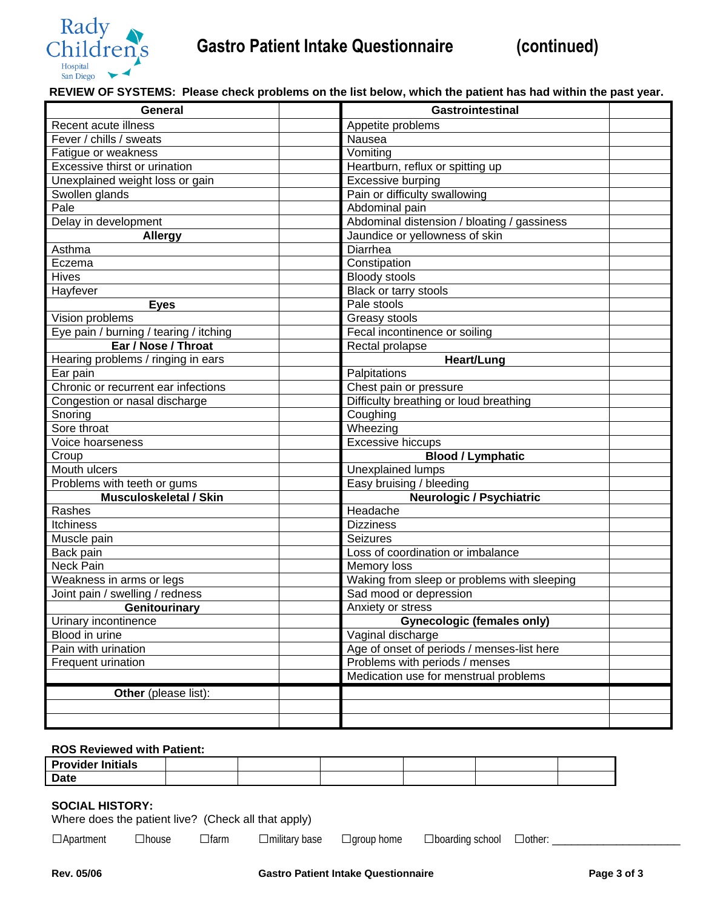

**REVIEW OF SYSTEMS: Please check problems on the list below, which the patient has had within the past year.** 

| General                                | <b>Gastrointestinal</b>                     |
|----------------------------------------|---------------------------------------------|
| Recent acute illness                   | Appetite problems                           |
| Fever / chills / sweats                | Nausea                                      |
| Fatigue or weakness                    | Vomiting                                    |
| Excessive thirst or urination          | Heartburn, reflux or spitting up            |
| Unexplained weight loss or gain        | Excessive burping                           |
| Swollen glands                         | Pain or difficulty swallowing               |
| Pale                                   | Abdominal pain                              |
| Delay in development                   | Abdominal distension / bloating / gassiness |
| <b>Allergy</b>                         | Jaundice or yellowness of skin              |
| Asthma                                 | Diarrhea                                    |
| Eczema                                 | Constipation                                |
| <b>Hives</b>                           | <b>Bloody stools</b>                        |
| Hayfever                               | Black or tarry stools                       |
| <b>Eyes</b>                            | Pale stools                                 |
| Vision problems                        | Greasy stools                               |
| Eye pain / burning / tearing / itching | Fecal incontinence or soiling               |
| Ear / Nose / Throat                    | Rectal prolapse                             |
| Hearing problems / ringing in ears     | Heart/Lung                                  |
| Ear pain                               | Palpitations                                |
| Chronic or recurrent ear infections    | Chest pain or pressure                      |
| Congestion or nasal discharge          | Difficulty breathing or loud breathing      |
| Snoring                                | Coughing                                    |
| Sore throat                            | Wheezing                                    |
| Voice hoarseness                       | Excessive hiccups                           |
| Croup                                  | <b>Blood / Lymphatic</b>                    |
| Mouth ulcers                           | <b>Unexplained lumps</b>                    |
| Problems with teeth or gums            | Easy bruising / bleeding                    |
| <b>Musculoskeletal / Skin</b>          | <b>Neurologic / Psychiatric</b>             |
| Rashes                                 | Headache                                    |
| <b>Itchiness</b>                       | <b>Dizziness</b>                            |
| Muscle pain                            | <b>Seizures</b>                             |
| Back pain                              | Loss of coordination or imbalance           |
| Neck Pain                              | Memory loss                                 |
| Weakness in arms or legs               | Waking from sleep or problems with sleeping |
| Joint pain / swelling / redness        | Sad mood or depression                      |
| Genitourinary                          | Anxiety or stress                           |
| Urinary incontinence                   | <b>Gynecologic (females only)</b>           |
| Blood in urine                         | Vaginal discharge                           |
| Pain with urination                    | Age of onset of periods / menses-list here  |
| Frequent urination                     | Problems with periods / menses              |
|                                        | Medication use for menstrual problems       |
| Other (please list):                   |                                             |
|                                        |                                             |
|                                        |                                             |
|                                        |                                             |

#### **ROS Reviewed with Patient:**

| <b>Provider Initials</b> |  |  |  |
|--------------------------|--|--|--|
| Date                     |  |  |  |

#### **SOCIAL HISTORY:**

|  |  | □Apartment □house □farm □military base □group home □boarding school □other: |  |
|--|--|-----------------------------------------------------------------------------|--|
|  |  |                                                                             |  |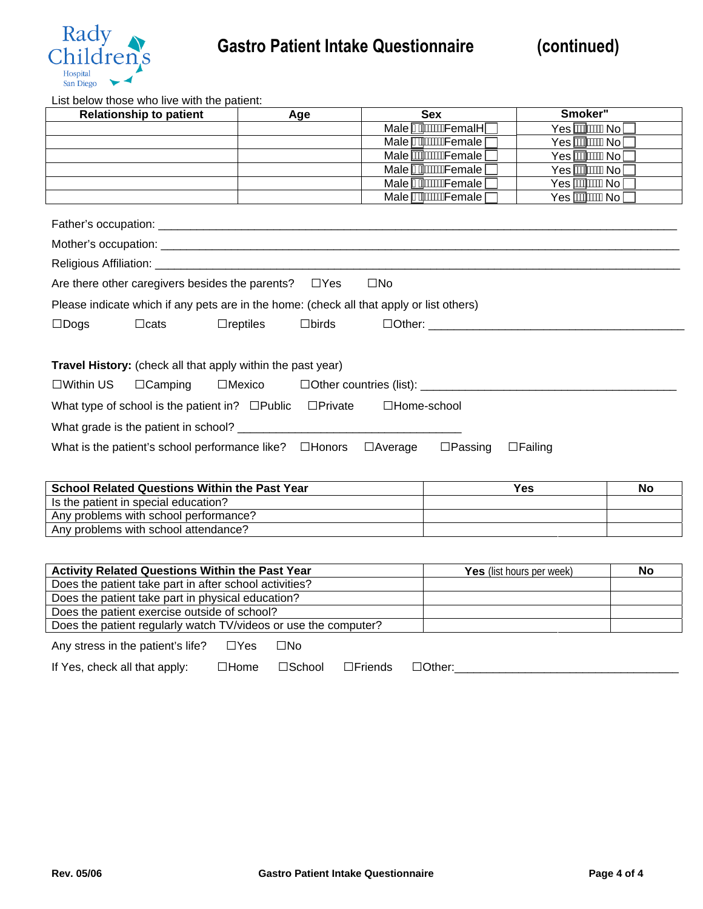

List below those who live with the patient:

| LIST DOISW THOSE WHO HAS WITH THE PUTCHT.<br><b>Relationship to patient</b>                                     | Age                                |                  | <b>Sex</b>                   | Smoker3                   |    |  |
|-----------------------------------------------------------------------------------------------------------------|------------------------------------|------------------|------------------------------|---------------------------|----|--|
|                                                                                                                 |                                    |                  | Male Mixis Femal^ [          | Yes <b><i>A</i>MWWANo</b> |    |  |
|                                                                                                                 |                                    |                  | Male AAWWFemale              | Yes <b>MWWW</b> No        |    |  |
|                                                                                                                 |                                    |                  | Male <b>MOWWF</b> emale      | Yes <i>A</i> MAWANol      |    |  |
|                                                                                                                 |                                    |                  | Male A <sup>WWW</sup> Female | Yes <i>A</i> MAWANo       |    |  |
|                                                                                                                 |                                    |                  | Male AS WANT emale           | Yes <i><b>AAWAANo</b></i> |    |  |
|                                                                                                                 |                                    |                  | Male A <del>MWWF</del> emale | Yes <b>ASKWANo</b>        |    |  |
|                                                                                                                 |                                    |                  |                              |                           |    |  |
|                                                                                                                 |                                    |                  |                              |                           |    |  |
|                                                                                                                 |                                    |                  |                              |                           |    |  |
| Are there other caregivers besides the parents? $\Box$ Yes                                                      |                                    | $\square$ No     |                              |                           |    |  |
| Please indicate which if any pets are in the home: (check all that apply or list others)                        |                                    |                  |                              |                           |    |  |
| $\square$ Dogs<br>$\Box$ cats                                                                                   | $\Box$ reptiles<br>$\square$ birds |                  |                              |                           |    |  |
|                                                                                                                 |                                    |                  |                              |                           |    |  |
|                                                                                                                 |                                    |                  |                              |                           |    |  |
| Travel History: (check all that apply within the past year)                                                     |                                    |                  |                              |                           |    |  |
| $\square$ Within US<br>$\Box$ Camping                                                                           | $\square$ Mexico                   |                  |                              |                           |    |  |
| What type of school is the patient in? □Public □Private □Home-school                                            |                                    |                  |                              |                           |    |  |
|                                                                                                                 |                                    |                  |                              |                           |    |  |
| What is the patient's school performance like? $\Box$ Honors $\Box$ Average<br>$\Box$ Passing<br>$\Box$ Failing |                                    |                  |                              |                           |    |  |
|                                                                                                                 |                                    |                  |                              |                           |    |  |
| <b>School Related Questions Within the Past Year</b>                                                            |                                    | <b>Yes</b><br>No |                              |                           |    |  |
| Is the patient in special education?                                                                            |                                    |                  |                              |                           |    |  |
| Any problems with school performance?                                                                           |                                    |                  |                              |                           |    |  |
| Any problems with school attendance?                                                                            |                                    |                  |                              |                           |    |  |
|                                                                                                                 |                                    |                  |                              |                           |    |  |
| Activity Related Questions Within the Past Year                                                                 |                                    |                  |                              | Yes (list hours per week) | No |  |
| Does the patient take part in after school activities?                                                          |                                    |                  |                              |                           |    |  |
| Does the patient take part in physical education?                                                               |                                    |                  |                              |                           |    |  |
| Does the patient exercise outside of school?                                                                    |                                    |                  |                              |                           |    |  |
| Does the patient regularly watch TV/videos or use the computer?                                                 |                                    |                  |                              |                           |    |  |

Any stress in the patient's life? **□**Yes **□**No

| If Yes, check all that apply: | $\Box$ Home | $\square$ School | $\Box$ Friends | Other: |  |
|-------------------------------|-------------|------------------|----------------|--------|--|
|-------------------------------|-------------|------------------|----------------|--------|--|